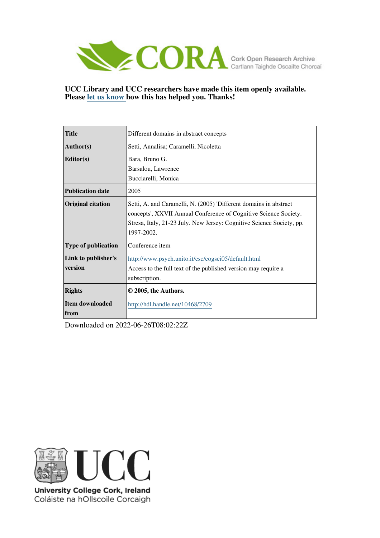

# **UCC Library and UCC researchers have made this item openly available. Please [let us know h](https://libguides.ucc.ie/openaccess/impact?suffix=2709&title=Different domains in abstract concepts)ow this has helped you. Thanks!**

| <b>Title</b>                   | Different domains in abstract concepts                                                                                                                                                                                       |  |  |  |
|--------------------------------|------------------------------------------------------------------------------------------------------------------------------------------------------------------------------------------------------------------------------|--|--|--|
| <b>Author(s)</b>               | Setti, Annalisa; Caramelli, Nicoletta                                                                                                                                                                                        |  |  |  |
| <b>Editor(s)</b>               | Bara, Bruno G.                                                                                                                                                                                                               |  |  |  |
|                                | Barsalou, Lawrence                                                                                                                                                                                                           |  |  |  |
|                                | Bucciarelli, Monica                                                                                                                                                                                                          |  |  |  |
| <b>Publication date</b>        | 2005                                                                                                                                                                                                                         |  |  |  |
| <b>Original citation</b>       | Setti, A. and Caramelli, N. (2005) 'Different domains in abstract<br>concepts', XXVII Annual Conference of Cognitive Science Society.<br>Stresa, Italy, 21-23 July. New Jersey: Cognitive Science Society, pp.<br>1997-2002. |  |  |  |
| <b>Type of publication</b>     | Conference item                                                                                                                                                                                                              |  |  |  |
| Link to publisher's            | http://www.psych.unito.it/csc/cogsci05/default.html                                                                                                                                                                          |  |  |  |
| version                        | Access to the full text of the published version may require a                                                                                                                                                               |  |  |  |
|                                | subscription.                                                                                                                                                                                                                |  |  |  |
| <b>Rights</b>                  | © 2005, the Authors.                                                                                                                                                                                                         |  |  |  |
| Item downloaded<br><b>from</b> | http://hdl.handle.net/10468/2709                                                                                                                                                                                             |  |  |  |

Downloaded on 2022-06-26T08:02:22Z



University College Cork, Ireland Coláiste na hOllscoile Corcaigh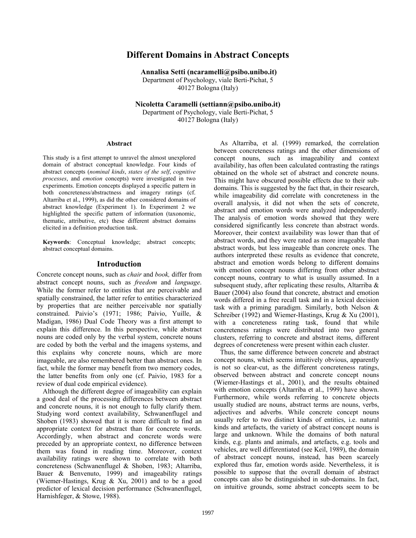# **Different Domains in Abstract Concepts**

 **Annalisa Setti (ncaramelli@psibo.unibo.it)**  Department of Psychology, viale Berti-Pichat, 5 40127 Bologna (Italy)

**Nicoletta Caramelli (settiann@psibo.unibo.it)**  Department of Psychology, viale Berti-Pichat, 5 40127 Bologna (Italy)

#### **Abstract**

This study is a first attempt to unravel the almost unexplored domain of abstract conceptual knowledge. Four kinds of abstract concepts (*nominal kinds*, *states of the self*, *cognitive processes*, and *emotion* concepts) were investigated in two experiments. Emotion concepts displayed a specific pattern in both concreteness/abstractness and imagery ratings (cf. Altarriba et al., 1999), as did the other considered domains of abstract knowledge (Experiment 1). In Experiment 2 we highlighted the specific pattern of information (taxonomic, thematic, attributive, etc) these different abstract domains elicited in a definition production task.

**Keywords**: Conceptual knowledge; abstract concepts; abstract conceptual domains.

#### **Introduction**

Concrete concept nouns, such as *chair* and *book,* differ from abstract concept nouns, such as *freedom* and *language*. While the former refer to entities that are perceivable and spatially constrained, the latter refer to entities characterized by properties that are neither perceivable nor spatially constrained. Paivio's (1971; 1986; Paivio, Yuille, & Madigan, 1986) Dual Code Theory was a first attempt to explain this difference. In this perspective, while abstract nouns are coded only by the verbal system, concrete nouns are coded by both the verbal and the imagens systems, and this explains why concrete nouns, which are more imageable, are also remembered better than abstract ones. In fact, while the former may benefit from two memory codes, the latter benefits from only one (cf. Paivio, 1983 for a review of dual code empirical evidence).

Although the different degree of imageability can explain a good deal of the processing differences between abstract and concrete nouns, it is not enough to fully clarify them. Studying word context availability, Schwanenflugel and Shoben (1983) showed that it is more difficult to find an appropriate context for abstract than for concrete words. Accordingly, when abstract and concrete words were preceded by an appropriate context, no difference between them was found in reading time. Moreover, context availability ratings were shown to correlate with both concreteness (Schwanenflugel & Shoben, 1983; Altarriba, Bauer & Benvenuto, 1999) and imageability ratings (Wiemer-Hastings, Krug & Xu, 2001) and to be a good predictor of lexical decision performance (Schwanenflugel, Harnishfeger, & Stowe, 1988).

As Altarriba, et al. (1999) remarked, the correlation between concreteness ratings and the other dimensions of concept nouns, such as imageability and context availability, has often been calculated contrasting the ratings obtained on the whole set of abstract and concrete nouns. This might have obscured possible effects due to their subdomains. This is suggested by the fact that, in their research, while imageability did correlate with concreteness in the overall analysis, it did not when the sets of concrete, abstract and emotion words were analyzed independently. The analysis of emotion words showed that they were considered significantly less concrete than abstract words. Moreover, their context availability was lower than that of abstract words, and they were rated as more imageable than abstract words, but less imageable than concrete ones. The authors interpreted these results as evidence that concrete, abstract and emotion words belong to different domains with emotion concept nouns differing from other abstract concept nouns, contrary to what is usually assumed. In a subsequent study, after replicating these results, Altarriba  $\&$ Bauer (2004) also found that concrete, abstract and emotion words differed in a free recall task and in a lexical decision task with a priming paradigm. Similarly, both Nelson & Schreiber (1992) and Wiemer-Hastings, Krug & Xu (2001), with a concreteness rating task, found that while concreteness ratings were distributed into two general clusters, referring to concrete and abstract items, different degrees of concreteness were present within each cluster.

Thus, the same difference between concrete and abstract concept nouns, which seems intuitively obvious, apparently is not so clear-cut, as the different concreteness ratings, observed between abstract and concrete concept nouns (Wiemer-Hastings et al., 2001), and the results obtained with emotion concepts (Altarriba et al., 1999) have shown. Furthermore, while words referring to concrete objects usually studied are nouns, abstract terms are nouns, verbs, adjectives and adverbs. While concrete concept nouns usually refer to two distinct kinds of entities, i.e. natural kinds and artefacts, the variety of abstract concept nouns is large and unknown. While the domains of both natural kinds, e.g. plants and animals, and artefacts, e.g. tools and vehicles, are well differentiated (see Keil, 1989), the domain of abstract concept nouns, instead, has been scarcely explored thus far, emotion words aside. Nevertheless, it is possible to suppose that the overall domain of abstract concepts can also be distinguished in sub-domains. In fact, on intuitive grounds, some abstract concepts seem to be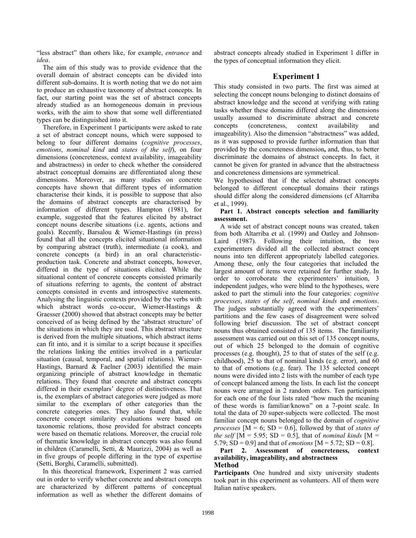"less abstract" than others like, for example, *entrance* and *idea*.

The aim of this study was to provide evidence that the overall domain of abstract concepts can be divided into different sub-domains. It is worth noting that we do not aim to produce an exhaustive taxonomy of abstract concepts. In fact, our starting point was the set of abstract concepts already studied as an homogeneous domain in previous works, with the aim to show that some well differentiated types can be distinguished into it.

Therefore, in Experiment 1 participants were asked to rate a set of abstract concept nouns, which were supposed to belong to four different domains (*cognitive processes*, *emotions*, *nominal kind* and *states of the self*), on four dimensions (concreteness, context availability, imageability and abstractness) in order to check whether the considered abstract conceptual domains are differentiated along these dimensions. Moreover, as many studies on concrete concepts have shown that different types of information characterise their kinds, it is possible to suppose that also the domains of abstract concepts are characterised by information of different types. Hampton (1981), for example, suggested that the features elicited by abstract concept nouns describe situations (i.e. agents, actions and goals). Recently, Barsalou & Wiemer-Hastings (in press) found that all the concepts elicited situational information by comparing abstract (truth), intermediate (a cook), and concrete concepts (a bird) in an oral characteristicproduction task. Concrete and abstract concepts, however, differed in the type of situations elicited. While the situational content of concrete concepts consisted primarily of situations referring to agents, the content of abstract concepts consisted in events and introspective statements. Analysing the linguistic contexts provided by the verbs with which abstract words co-occur, Wiemer-Hastings & Graesser (2000) showed that abstract concepts may be better conceived of as being defined by the 'abstract structure' of the situations in which they are used. This abstract structure is derived from the multiple situations, which abstract items can fit into, and it is similar to a script because it specifies the relations linking the entities involved in a particular situation (causal, temporal, and spatial relations). Wiemer-Hastings, Barnard & Faelner (2003) identified the main organizing principle of abstract knowledge in thematic relations. They found that concrete and abstract concepts differed in their exemplars' degree of distinctiveness. That is, the exemplars of abstract categories were judged as more similar to the exemplars of other categories than the concrete categories ones. They also found that, while concrete concept similarity evaluations were based on taxonomic relations, those provided for abstract concepts were based on thematic relations. Moreover, the crucial role of thematic knowledge in abstract concepts was also found in children (Caramelli, Setti, & Maurizzi, 2004) as well as in five groups of people differing in the type of expertise (Setti, Borghi, Caramelli, submitted).

In this theoretical framework, Experiment 2 was carried out in order to verify whether concrete and abstract concepts are characterized by different patterns of conceptual information as well as whether the different domains of abstract concepts already studied in Experiment 1 differ in the types of conceptual information they elicit.

## **Experiment 1**

This study consisted in two parts. The first was aimed at selecting the concept nouns belonging to distinct domains of abstract knowledge and the second at verifying with rating tasks whether these domains differed along the dimensions usually assumed to discriminate abstract and concrete concepts (concreteness, context availability and imageability). Also the dimension "abstractness" was added, as it was supposed to provide further information than that provided by the concreteness dimension**,** and, thus, to better discriminate the domains of abstract concepts. In fact, it cannot be given for granted in advance that the abstractness and concreteness dimensions are symmetrical.

We hypothesised that if the selected abstract concepts belonged to different conceptual domains their ratings should differ along the considered dimensions (cf Altarriba et al., 1999).

#### **Part 1. Abstract concepts selection and familiarity assessment.**

A wide set of abstract concept nouns was created, taken from both Altarriba et al. (1999) and Oatley and Johnson-Laird (1987). Following their intuition, the two experimenters divided all the collected abstract concept nouns into ten different appropriately labelled categories. Among these, only the four categories that included the largest amount of items were retained for further study. In order to corroborate the experimenters' intuition, 3 independent judges, who were blind to the hypotheses, were asked to part the stimuli into the four categories: *cognitive processes*, *states of the self*, *nominal kinds* and *emotions*. The judges substantially agreed with the experimenters' partitions and the few cases of disagreement were solved following brief discussion. The set of abstract concept nouns thus obtained consisted of 135 items. The familiarity assessment was carried out on this set of 135 concept nouns, out of which 25 belonged to the domain of cognitive processes (e.g. thought), 25 to that of states of the self (e.g. childhood), 25 to that of nominal kinds (e.g. error), and 60 to that of emotions (e.g. fear). The 135 selected concept nouns were divided into 2 lists with the number of each type of concept balanced among the lists. In each list the concept nouns were arranged in 2 random orders. Ten participants for each one of the four lists rated "how much the meaning of these words is familiar/known" on a 7-point scale. In total the data of 20 super-subjects were collected. The most familiar concept nouns belonged to the domain of *cognitive processes*  $[M = 6; SD = 0.6]$ , followed by that of *states of the self*  $[M = 5.95; SD = 0.5]$ , that of *nominal kinds*  $[M = 1.95]$ 5.79; SD = 0.9] and that of *emotions* [M = 5.72; SD = 0.8].

#### **Part 2. Assessment of concreteness, context availability, imageability, and abstractness Method**

Participants One hundred and sixty university students took part in this experiment as volunteers. All of them were Italian native speakers.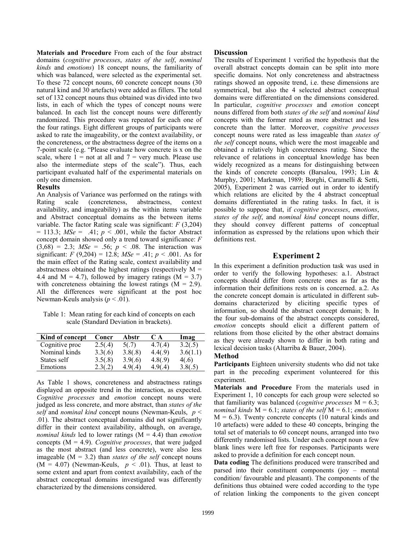**Materials and Procedure** From each of the four abstract domains (*cognitive processes*, *states of the self*, *nominal kinds* and *emotions*) 18 concept nouns, the familiarity of which was balanced, were selected as the experimental set. To these 72 concept nouns, 60 concrete concept nouns (30 natural kind and 30 artefacts) were added as fillers. The total set of 132 concept nouns thus obtained was divided into two lists, in each of which the types of concept nouns were balanced. In each list the concept nouns were differently randomized. This procedure was repeated for each one of the four ratings. Eight different groups of participants were asked to rate the imageability, or the context availability, or the concreteness, or the abstractness degree of the items on a 7-point scale (e.g. "Please evaluate how concrete is x on the scale, where  $1 = \text{not at all and } 7 = \text{very much. Please use}$ also the intermediate steps of the scale"). Thus, each participant evaluated half of the experimental materials on only one dimension.

## **Results**

An Analysis of Variance was performed on the ratings with Rating scale (concreteness, abstractness, context availability, and imageability) as the within items variable and Abstract conceptual domains as the between items variable. The factor Rating scale was significant: *F* (3,204)  $= 113.3$ ;  $MSe = .41$ ;  $p < .001$ , while the factor Abstract concept domain showed only a trend toward significance: *F*   $(3,68) = 2.3$ ; *MSe* = .56; *p* < .08. The interaction was significant:  $F (9,204) = 12.8$ ;  $MSe = .41$ ;  $p < .001$ . As for the main effect of the Rating scale, context availability and abstractness obtained the highest ratings (respectively  $M =$ 4.4 and  $M = 4.7$ ), followed by imagery ratings ( $M = 3.7$ ) with concreteness obtaining the lowest ratings  $(M = 2.9)$ . All the differences were significant at the post hoc Newman-Keuls analysis  $(p < .01)$ .

Table 1: Mean rating for each kind of concepts on each scale (Standard Deviation in brackets).

| Kind of concept | Concr   | Abstr   | C A     | Imag     |
|-----------------|---------|---------|---------|----------|
| Cognitive proc  | 2.5(.4) | 5(.7)   | 4.7(.4) | 3.2(.5)  |
| Nominal kinds   | 3.3(.6) | 3.8(.8) | 4.4(.9) | 3.6(1.1) |
| States self     | 3.5(.8) | 3.9(.6) | 4.8(.9) | 4(.6)    |
| Emotions        | 2.3(.2) | 4.9(.4) | 4.9(.4) | 3.8(.5)  |

As Table 1 shows, concreteness and abstractness ratings displayed an opposite trend in the interaction, as expected. *Cognitive processes* and *emotion* concept nouns were judged as less concrete, and more abstract, than *states of the self* and *nominal kind* concept nouns (Newman-Keuls, *p* < .01). The abstract conceptual domains did not significantly differ in their context availability, although, on average, *nominal kinds* led to lower ratings (M = 4.4) than *emotion* concepts (M = 4.9). *Cognitive processes*, that were judged as the most abstract (and less concrete), were also less imageable  $(M = 3.2)$  than *states of the self* concept nouns  $(M = 4.07)$  (Newman-Keuls,  $p \le .01$ ). Thus, at least to some extent and apart from context availability, each of the abstract conceptual domains investigated was differently characterized by the dimensions considered.

### **Discussion**

The results of Experiment 1 verified the hypothesis that the overall abstract concepts domain can be split into more specific domains. Not only concreteness and abstractness ratings showed an opposite trend, i.e. these dimensions are symmetrical, but also the 4 selected abstract conceptual domains were differentiated on the dimensions considered. In particular, *cognitive processes* and *emotion* concept nouns differed from both *states of the self* and *nominal kind* concepts with the former rated as more abstract and less concrete than the latter. Moreover, *cognitive processes* concept nouns were rated as less imageable than *states of the self* concept nouns, which were the most imageable and obtained a relatively high concreteness rating. Since the relevance of relations in conceptual knowledge has been widely recognized as a means for distinguishing between the kinds of concrete concepts (Barsalou, 1993; Lin & Murphy, 2001; Markman, 1989; Borghi, Caramelli & Setti, 2005), Experiment 2 was carried out in order to identify which relations are elicited by the 4 abstract conceptual domains differentiated in the rating tasks. In fact, it is possible to suppose that, if *cognitive processes*, *emotions*, *states of the self*, and *nominal kind* concept nouns differ, they should convey different patterns of conceptual information as expressed by the relations upon which their definitions rest.

## **Experiment 2**

In this experiment a definition production task was used in order to verify the following hypotheses: a.1. Abstract concepts should differ from concrete ones as far as the information their definitions rests on is concerned. a.2. As the concrete concept domain is articulated in different subdomains characterized by eliciting specific types of information, so should the abstract concept domain; b. In the four sub-domains of the abstract concepts considered, *emotion* concepts should elicit a different pattern of relations from those elicited by the other abstract domains as they were already shown to differ in both rating and lexical decision tasks (Altarriba & Bauer, 2004).

## **Method**

**Participants** Eighteen university students who did not take part in the preceding experiment volunteered for this experiment.

**Materials and Procedure** From the materials used in Experiment 1, 10 concepts for each group were selected so that familiarity was balanced (*cognitive processes* M = 6.3; *nominal kinds* M = 6.1; *states of the self* M = 6.1; *emotions*  $M = 6.3$ ). Twenty concrete concepts (10 natural kinds and 10 artefacts) were added to these 40 concepts, bringing the total set of materials to 60 concept nouns, arranged into two differently randomised lists. Under each concept noun a few blank lines were left free for responses. Participants were asked to provide a definition for each concept noun.

**Data coding** The definitions produced were transcribed and parsed into their constituent components (joy – mental condition/ favourable and pleasant). The components of the definitions thus obtained were coded according to the type of relation linking the components to the given concept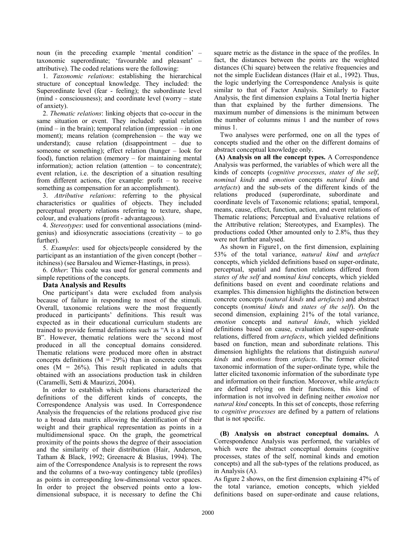noun (in the preceding example 'mental condition' – taxonomic superordinate; 'favourable and pleasant' – attributive). The coded relations were the following:

1. *Taxonomic relations*: establishing the hierarchical structure of conceptual knowledge. They included: the Superordinate level (fear - feeling); the subordinate level (mind - consciousness); and coordinate level (worry – state of anxiety).

2. *Thematic relations*: linking objects that co-occur in the same situation or event. They included: spatial relation (mind – in the brain); temporal relation (impression – in one moment); means relation (comprehension – the way we understand); cause relation (disappointment – due to someone or something); effect relation (hunger – look for food), function relation (memory – for maintaining mental information); action relation (attention – to concentrate); event relation, i.e. the description of a situation resulting from different actions, (for example: profit – to receive something as compensation for an accomplishment).

3. *Attributive relations*: referring to the physical characteristics or qualities of objects. They included perceptual property relations referring to texture, shape, colour, and evaluations (profit - advantageous).

4. *Stereotypes*: used for conventional associations (mindgenius) and idiosyncratic associations (creativity – to go further).

5. *Examples*: used for objects/people considered by the participant as an instantiation of the given concept (bother – itchiness) (see Barsalou and Wiemer-Hastings, in press).

6. *Other*: This code was used for general comments and simple repetitions of the concepts.

## **Data Analysis and Results**

One participant's data were excluded from analysis because of failure in responding to most of the stimuli. Overall, taxonomic relations were the most frequently produced in participants' definitions. This result was expected as in their educational curriculum students are trained to provide formal definitions such as "A is a kind of B". However, thematic relations were the second most produced in all the conceptual domains considered. Thematic relations were produced more often in abstract concepts definitions  $(M = 29\%)$  than in concrete concepts ones  $(M = 26\%)$ . This result replicated in adults that obtained with an associations production task in children (Caramelli, Setti & Maurizzi, 2004).

In order to establish which relations characterized the definitions of the different kinds of concepts, the Correspondence Analysis was used. In Correspondence Analysis the frequencies of the relations produced give rise to a broad data matrix allowing the identification of their weight and their graphical representation as points in a multidimensional space. On the graph, the geometrical proximity of the points shows the degree of their association and the similarity of their distribution (Hair, Anderson, Tatham & Black, 1992; Greenacre & Blasius, 1994). The aim of the Correspondence Analysis is to represent the rows and the columns of a two-way contingency table (profiles) as points in corresponding low-dimensional vector spaces. In order to project the observed points onto a lowdimensional subspace, it is necessary to define the Chi

square metric as the distance in the space of the profiles. In fact, the distances between the points are the weighted distances (Chi square) between the relative frequencies and not the simple Euclidean distances (Hair et al., 1992). Thus, the logic underlying the Correspondence Analysis is quite similar to that of Factor Analysis. Similarly to Factor Analysis, the first dimension explains a Total Inertia higher than that explained by the further dimensions. The maximum number of dimensions is the minimum between the number of columns minus 1 and the number of rows minus 1

Two analyses were performed, one on all the types of concepts studied and the other on the different domains of abstract conceptual knowledge only.

 **(A) Analysis on all the concept types.** A Correspondence Analysis was performed, the variables of which were all the kinds of concepts (*cognitive processes*, *states of the self*, *nominal kinds* and *emotion* concepts *natural kinds* and *artefacts*) and the sub-sets of the different kinds of the relations produced (superordinate, subordinate and coordinate levels of Taxonomic relations; spatial, temporal, means, cause, effect, function, action, and event relations of Thematic relations; Perceptual and Evaluative relations of the Attributive relation; Stereotypes, and Examples). The productions coded Other amounted only to 2.8%, thus they were not further analysed.

As shown in Figure1, on the first dimension, explaining 53% of the total variance, *natural kind* and *artefact* concepts, which yielded definitions based on super-ordinate, perceptual, spatial and function relations differed from *states of the self* and *nominal kind* concepts, which yielded definitions based on event and coordinate relations and examples. This dimension highlights the distinction between concrete concepts (*natural kinds* and *artefacts*) and abstract concepts (*nominal kinds* and *states of the self*). On the second dimension, explaining 21% of the total variance, *emotion* concepts and *natural kinds*, which yielded definitions based on cause, evaluation and super-ordinate relations, differed from *artefacts*, which yielded definitions based on function, mean and subordinate relations. This dimension highlights the relations that distinguish *natural kinds* and *emotions* from *artefacts*. The former elicited taxonomic information of the super-ordinate type, while the latter elicited taxonomic information of the subordinate type and information on their function. Moreover, while *artefacts* are defined relying on their functions, this kind of information is not involved in defining neither *emotion* nor *natural kind* concepts. In this set of concepts, those referring to *cognitive processes* are defined by a pattern of relations that is not specific.

**(B) Analysis on abstract conceptual domains.** A Correspondence Analysis was performed, the variables of which were the abstract conceptual domains (cognitive processes, states of the self, nominal kinds and emotion concepts) and all the sub-types of the relations produced, as in Analysis (A).

As figure 2 shows, on the first dimension explaining 47% of the total variance, emotion concepts, which yielded definitions based on super-ordinate and cause relations,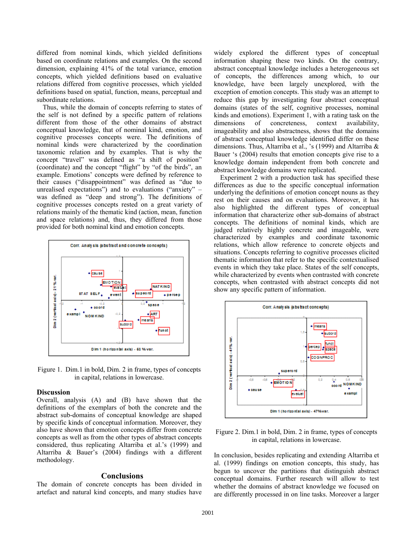differed from nominal kinds, which yielded definitions based on coordinate relations and examples. On the second dimension, explaining 41% of the total variance, emotion concepts, which yielded definitions based on evaluative relations differed from cognitive processes, which yielded definitions based on spatial, function, means, perceptual and subordinate relations.

Thus, while the domain of concepts referring to states of the self is not defined by a specific pattern of relations different from those of the other domains of abstract conceptual knowledge, that of nominal kind, emotion, and cognitive processes concepts were. The definitions of nominal kinds were characterized by the coordination taxonomic relation and by examples. That is why the concept "travel" was defined as "a shift of position" (coordinate) and the concept "flight" by "of the birds", an example. Emotions' concepts were defined by reference to their causes ("disappointment" was defined as "due to unrealised expectations") and to evaluations ("anxiety" – was defined as "deep and strong"). The definitions of cognitive processes concepts rested on a great variety of relations mainly of the thematic kind (action, mean, function and space relations) and, thus, they differed from those provided for both nominal kind and emotion concepts.



Figure 1. Dim.1 in bold, Dim. 2 in frame, types of concepts in capital, relations in lowercase.

#### **Discussion**

Overall, analysis (A) and (B) have shown that the definitions of the exemplars of both the concrete and the abstract sub-domains of conceptual knowledge are shaped by specific kinds of conceptual information. Moreover, they also have shown that emotion concepts differ from concrete concepts as well as from the other types of abstract concepts considered, thus replicating Altarriba et al.'s (1999) and Altarriba & Bauer's (2004) findings with a different methodology.

#### **Conclusions**

The domain of concrete concepts has been divided in artefact and natural kind concepts, and many studies have widely explored the different types of conceptual information shaping these two kinds. On the contrary, abstract conceptual knowledge includes a heterogeneous set of concepts, the differences among which, to our knowledge, have been largely unexplored, with the exception of emotion concepts. This study was an attempt to reduce this gap by investigating four abstract conceptual domains (states of the self, cognitive processes, nominal kinds and emotions). Experiment 1, with a rating task on the dimensions of concreteness, context availability, imageability and also abstractness, shows that the domains of abstract conceptual knowledge identified differ on these dimensions. Thus, Altarriba et al., 's (1999) and Altarriba & Bauer 's (2004) results that emotion concepts give rise to a knowledge domain independent from both concrete and abstract knowledge domains were replicated.

Experiment 2 with a production task has specified these differences as due to the specific conceptual information underlying the definitions of emotion concept nouns as they rest on their causes and on evaluations. Moreover, it has also highlighted the different types of conceptual information that characterize other sub-domains of abstract concepts. The definitions of nominal kinds, which are judged relatively highly concrete and imageable, were characterized by examples and coordinate taxonomic relations, which allow reference to concrete objects and situations. Concepts referring to cognitive processes elicited thematic information that refer to the specific contextualised events in which they take place. States of the self concepts, while characterized by events when contrasted with concrete concepts, when contrasted with abstract concepts did not show any specific pattern of information.



Figure 2. Dim.1 in bold, Dim. 2 in frame, types of concepts in capital, relations in lowercase.

In conclusion, besides replicating and extending Altarriba et al. (1999) findings on emotion concepts, this study, has begun to uncover the partitions that distinguish abstract conceptual domains. Further research will allow to test whether the domains of abstract knowledge we focused on are differently processed in on line tasks. Moreover a larger